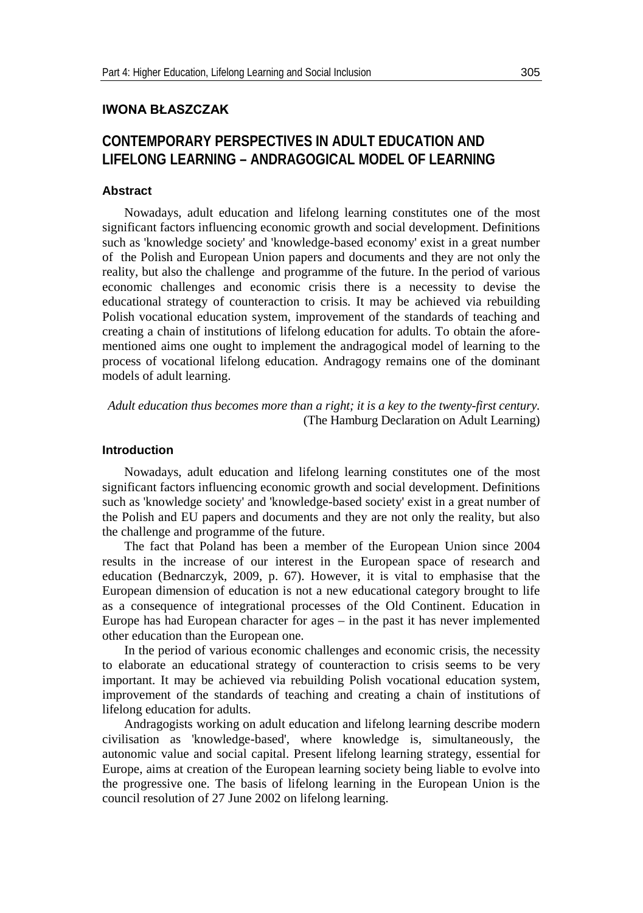## **IWONA BŁASZCZAK**

# **CONTEMPORARY PERSPECTIVES IN ADULT EDUCATION AND LIFELONG LEARNING – ANDRAGOGICAL MODEL OF LEARNING**

#### **Abstract**

Nowadays, adult education and lifelong learning constitutes one of the most significant factors influencing economic growth and social development. Definitions such as 'knowledge society' and 'knowledge-based economy' exist in a great number of the Polish and European Union papers and documents and they are not only the reality, but also the challenge and programme of the future. In the period of various economic challenges and economic crisis there is a necessity to devise the educational strategy of counteraction to crisis. It may be achieved via rebuilding Polish vocational education system, improvement of the standards of teaching and creating a chain of institutions of lifelong education for adults. To obtain the aforementioned aims one ought to implement the andragogical model of learning to the process of vocational lifelong education. Andragogy remains one of the dominant models of adult learning.

*Adult education thus becomes more than a right; it is a key to the twenty-first century.* [\(The Hamburg Declaration on Adult Le](http://www.google.pl/url?sa=t&rct=j&q=&esrc=s&source=web&cd=2&ved=0CDkQFjAB&url=http%3A%2F%2Fwww.unesco.org%2Feducation%2Fuie%2Fconfintea%2Fpdf%2Fcon5eng.pdf&ei=v9T-UO2XCs7RsgbBh4D4Cg&usg=AFQjCNFEztakjCregIfNmkbwWZQVpaxHpw&bvm=bv.41248874,d.Yms&cad=rja)arning)

#### **Introduction**

Nowadays, adult education and lifelong learning constitutes one of the most significant factors influencing economic growth and social development. Definitions such as 'knowledge society' and 'knowledge-based society' exist in a great number of the Polish and EU papers and documents and they are not only the reality, but also the challenge and programme of the future.

The fact that Poland has been a member of the European Union since 2004 results in the increase of our interest in the European space of research and education (Bednarczyk, 2009, p. 67). However, it is vital to emphasise that the European dimension of education is not a new educational category brought to life as a consequence of integrational processes of the Old Continent. Education in Europe has had European character for ages – in the past it has never implemented other education than the European one.

In the period of various economic challenges and economic crisis, the necessity to elaborate an educational strategy of counteraction to crisis seems to be very important. It may be achieved via rebuilding Polish vocational education system, improvement of the standards of teaching and creating a chain of institutions of lifelong education for adults.

Andragogists working on adult education and lifelong learning describe modern civilisation as 'knowledge-based', where knowledge is, simultaneously, the autonomic value and social capital. Present lifelong learning strategy, essential for Europe, aims at creation of the European learning society being liable to evolve into the progressive one. The basis of lifelong learning in the European Union is the council resolution of 27 June 2002 on lifelong learning.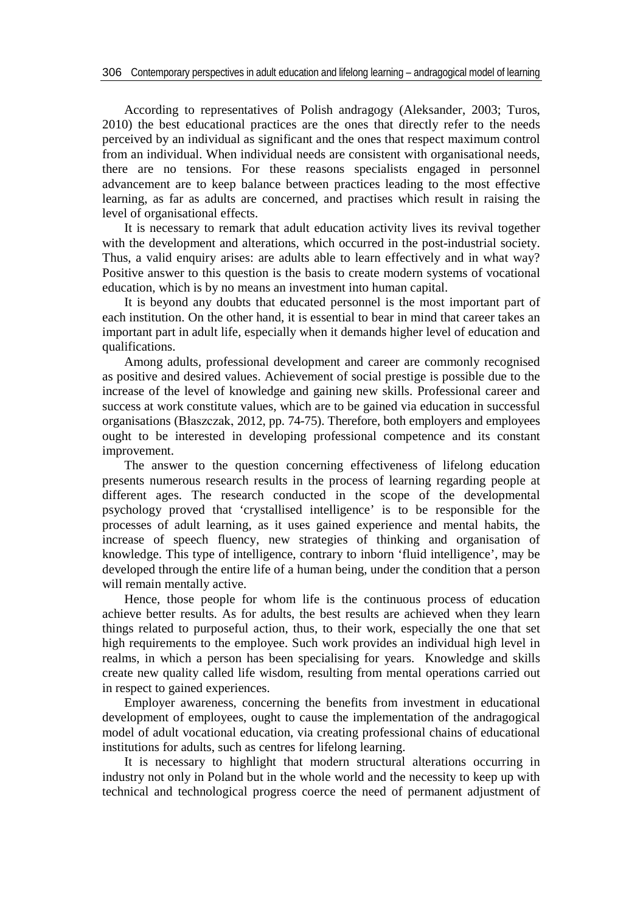According to representatives of Polish andragogy (Aleksander, 2003; Turos, 2010) the best educational practices are the ones that directly refer to the needs perceived by an individual as significant and the ones that respect maximum control from an individual. When individual needs are consistent with organisational needs, there are no tensions. For these reasons specialists engaged in personnel advancement are to keep balance between practices leading to the most effective learning, as far as adults are concerned, and practises which result in raising the level of organisational effects.

It is necessary to remark that adult education activity lives its revival together with the development and alterations, which occurred in the post-industrial society. Thus, a valid enquiry arises: are adults able to learn effectively and in what way? Positive answer to this question is the basis to create modern systems of vocational education, which is by no means an investment into human capital.

It is beyond any doubts that educated personnel is the most important part of each institution. On the other hand, it is essential to bear in mind that career takes an important part in adult life, especially when it demands higher level of education and qualifications.

Among adults, professional development and career are commonly recognised as positive and desired values. Achievement of social prestige is possible due to the increase of the level of knowledge and gaining new skills. Professional career and success at work constitute values, which are to be gained via education in successful organisations (Błaszczak, 2012, pp. 74-75). Therefore, both employers and employees ought to be interested in developing professional competence and its constant improvement.

The answer to the question concerning effectiveness of lifelong education presents numerous research results in the process of learning regarding people at different ages. The research conducted in the scope of the developmental psychology proved that 'crystallised intelligence' is to be responsible for the processes of adult learning, as it uses gained experience and mental habits, the increase of speech fluency, new strategies of thinking and organisation of knowledge. This type of intelligence, contrary to inborn 'fluid intelligence', may be developed through the entire life of a human being, under the condition that a person will remain mentally active.

Hence, those people for whom life is the continuous process of education achieve better results. As for adults, the best results are achieved when they learn things related to purposeful action, thus, to their work, especially the one that set high requirements to the employee. Such work provides an individual high level in realms, in which a person has been specialising for years. Knowledge and skills create new quality called life wisdom, resulting from mental operations carried out in respect to gained experiences.

Employer awareness, concerning the benefits from investment in educational development of employees, ought to cause the implementation of the andragogical model of adult vocational education, via creating professional chains of educational institutions for adults, such as centres for lifelong learning.

It is necessary to highlight that modern structural alterations occurring in industry not only in Poland but in the whole world and the necessity to keep up with technical and technological progress coerce the need of permanent adjustment of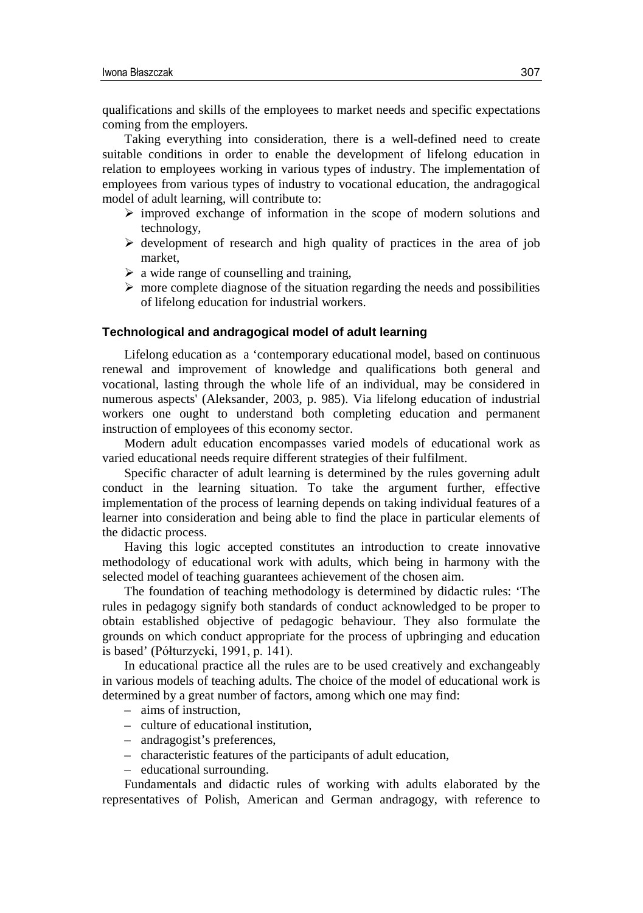qualifications and skills of the employees to market needs and specific expectations coming from the employers.

Taking everything into consideration, there is a well-defined need to create suitable conditions in order to enable the development of lifelong education in relation to employees working in various types of industry. The implementation of employees from various types of industry to vocational education, the andragogical model of adult learning, will contribute to:

- $\triangleright$  improved exchange of information in the scope of modern solutions and technology,
- $\triangleright$  development of research and high quality of practices in the area of job market,
- $\triangleright$  a wide range of counselling and training,
- $\triangleright$  more complete diagnose of the situation regarding the needs and possibilities of lifelong education for industrial workers.

#### **Technological and andragogical model of adult learning**

Lifelong education as a 'contemporary educational model, based on continuous renewal and improvement of knowledge and qualifications both general and vocational, lasting through the whole life of an individual, may be considered in numerous aspects' (Aleksander, 2003, p. 985). Via lifelong education of industrial workers one ought to understand both completing education and permanent instruction of employees of this economy sector.

Modern adult education encompasses varied models of educational work as varied educational needs require different strategies of their fulfilment.

Specific character of adult learning is determined by the rules governing adult conduct in the learning situation. To take the argument further, effective implementation of the process of learning depends on taking individual features of a learner into consideration and being able to find the place in particular elements of the didactic process.

Having this logic accepted constitutes an introduction to create innovative methodology of educational work with adults, which being in harmony with the selected model of teaching guarantees achievement of the chosen aim.

The foundation of teaching methodology is determined by didactic rules: 'The rules in pedagogy signify both standards of conduct acknowledged to be proper to obtain established objective of pedagogic behaviour. They also formulate the grounds on which conduct appropriate for the process of upbringing and education is based' (Półturzycki, 1991, p. 141).

In educational practice all the rules are to be used creatively and exchangeably in various models of teaching adults. The choice of the model of educational work is determined by a great number of factors, among which one may find:

- aims of instruction,
- culture of educational institution,
- andragogist's preferences,
- characteristic features of the participants of adult education,
- educational surrounding.

Fundamentals and didactic rules of working with adults elaborated by the representatives of Polish, American and German andragogy, with reference to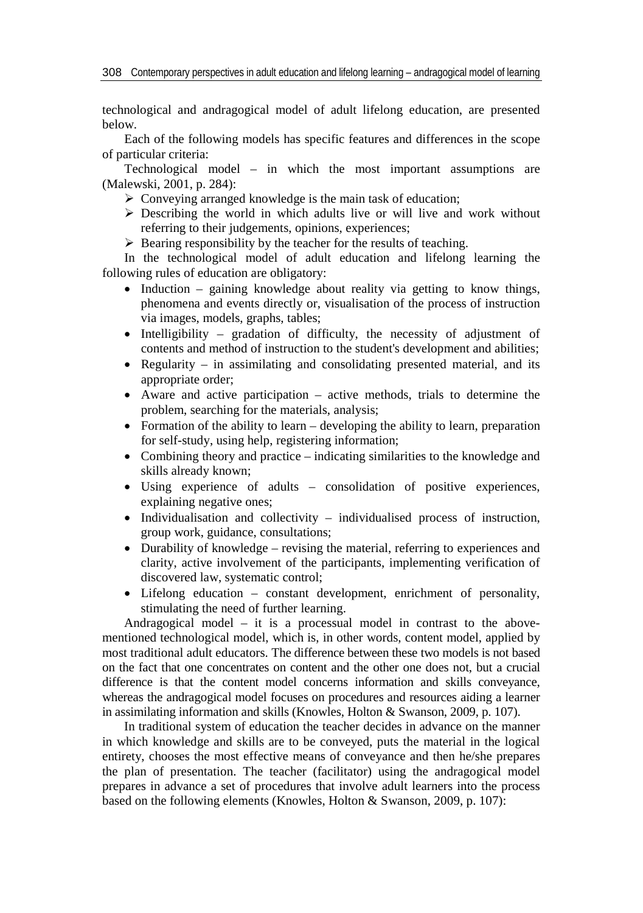technological and andragogical model of adult lifelong education, are presented below.

Each of the following models has specific features and differences in the scope of particular criteria:

Technological model – in which the most important assumptions are (Malewski, 2001, p. 284):

- $\triangleright$  Conveying arranged knowledge is the main task of education;
- $\triangleright$  Describing the world in which adults live or will live and work without referring to their judgements, opinions, experiences;
- $\triangleright$  Bearing responsibility by the teacher for the results of teaching.

In the technological model of adult education and lifelong learning the following rules of education are obligatory:

- Induction gaining knowledge about reality via getting to know things, phenomena and events directly or, visualisation of the process of instruction via images, models, graphs, tables;
- Intelligibility gradation of difficulty, the necessity of adjustment of contents and method of instruction to the student's development and abilities;
- Regularity in assimilating and consolidating presented material, and its appropriate order;
- Aware and active participation active methods, trials to determine the problem, searching for the materials, analysis;
- Formation of the ability to learn developing the ability to learn, preparation for self-study, using help, registering information;
- Combining theory and practice indicating similarities to the knowledge and skills already known;
- Using experience of adults consolidation of positive experiences, explaining negative ones;
- Individualisation and collectivity individualised process of instruction, group work, guidance, consultations;
- Durability of knowledge revising the material, referring to experiences and clarity, active involvement of the participants, implementing verification of discovered law, systematic control;
- Lifelong education constant development, enrichment of personality, stimulating the need of further learning.

Andragogical model – it is a processual model in contrast to the abovementioned technological model, which is, in other words, content model, applied by most traditional adult educators. The difference between these two models is not based on the fact that one concentrates on content and the other one does not, but a crucial difference is that the content model concerns information and skills conveyance, whereas the andragogical model focuses on procedures and resources aiding a learner in assimilating information and skills (Knowles, Holton & Swanson, 2009, p. 107).

In traditional system of education the teacher decides in advance on the manner in which knowledge and skills are to be conveyed, puts the material in the logical entirety, chooses the most effective means of conveyance and then he/she prepares the plan of presentation. The teacher (facilitator) using the andragogical model prepares in advance a set of procedures that involve adult learners into the process based on the following elements (Knowles, Holton & Swanson, 2009, p. 107):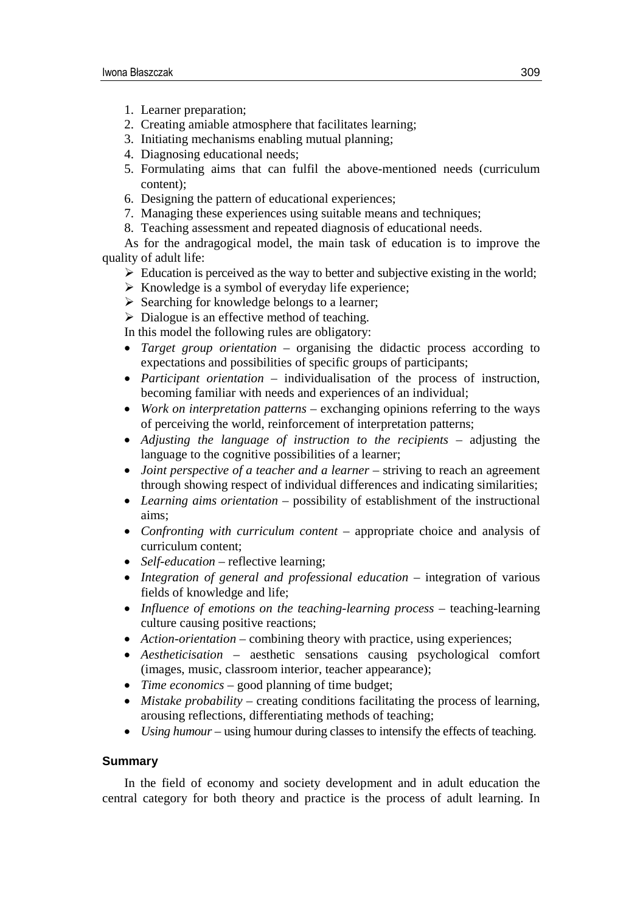- 1. Learner preparation;
- 2. Creating amiable atmosphere that facilitates learning;
- 3. Initiating mechanisms enabling mutual planning;
- 4. Diagnosing educational needs;
- 5. Formulating aims that can fulfil the above-mentioned needs (curriculum content);
- 6. Designing the pattern of educational experiences;
- 7. Managing these experiences using suitable means and techniques;
- 8. Teaching assessment and repeated diagnosis of educational needs.

As for the andragogical model, the main task of education is to improve the quality of adult life:

- $\triangleright$  Education is perceived as the way to better and subjective existing in the world;
- $\triangleright$  Knowledge is a symbol of everyday life experience;
- $\triangleright$  Searching for knowledge belongs to a learner;
- $\triangleright$  Dialogue is an effective method of teaching.

In this model the following rules are obligatory:

- *Target group orientation* organising the didactic process according to expectations and possibilities of specific groups of participants;
- *Participant orientation* individualisation of the process of instruction, becoming familiar with needs and experiences of an individual;
- *Work on interpretation patterns* exchanging opinions referring to the ways of perceiving the world, reinforcement of interpretation patterns;
- *Adjusting the language of instruction to the recipients –* adjusting the language to the cognitive possibilities of a learner;
- *Joint perspective of a teacher and a learner* striving to reach an agreement through showing respect of individual differences and indicating similarities;
- *Learning aims orientation* possibility of establishment of the instructional aims;
- *Confronting with curriculum content* appropriate choice and analysis of curriculum content;
- *Self-education* reflective learning;
- *Integration of general and professional education* integration of various fields of knowledge and life;
- *Influence of emotions on the teaching-learning process* teaching-learning culture causing positive reactions;
- *Action-orientation* combining theory with practice, using experiences;
- *Aestheticisation –* aesthetic sensations causing psychological comfort (images, music, classroom interior, teacher appearance);
- *Time economics* good planning of time budget;
- *Mistake probability* creating conditions facilitating the process of learning, arousing reflections, differentiating methods of teaching;
- *Using humour* using humour during classes to intensify the effects of teaching.

### **Summary**

In the field of economy and society development and in adult education the central category for both theory and practice is the process of adult learning. In